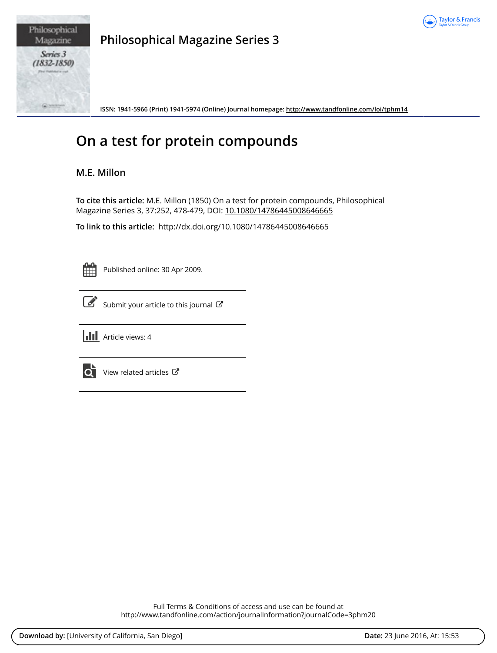



**Philosophical Magazine Series 3**

**ISSN: 1941-5966 (Print) 1941-5974 (Online) Journal homepage:<http://www.tandfonline.com/loi/tphm14>**

## **On a test for protein compounds**

## **M.E. Millon**

**To cite this article:** M.E. Millon (1850) On a test for protein compounds, Philosophical Magazine Series 3, 37:252, 478-479, DOI: [10.1080/14786445008646665](http://www.tandfonline.com/action/showCitFormats?doi=10.1080/14786445008646665)

**To link to this article:** <http://dx.doi.org/10.1080/14786445008646665>

Published online: 30 Apr 2009.



[Submit your article to this journal](http://www.tandfonline.com/action/authorSubmission?journalCode=3phm20&page=instructions)  $\mathbb{Z}$ 



lo i

[View related articles](http://www.tandfonline.com/doi/mlt/10.1080/14786445008646665) ぴ

Full Terms & Conditions of access and use can be found at <http://www.tandfonline.com/action/journalInformation?journalCode=3phm20>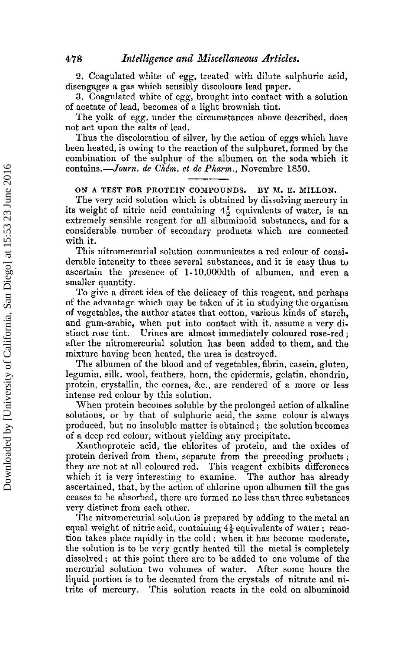2. Coagulated white of egg, treated with dilute sulphuric acid, disengages a gas which sensibly discolours lead paper.

3. Coagulated white of egg, brought into contact with a solution of acetate of lead, becomes of a light brownish tint.

The yolk of egg, under the circumstances above described, does not act upon the salts of lead.

Thus the discoloration of silver, by the action of eggs which have been heated, is owing to the reaction of the sulphuret, formed by the combination of the sulphur of the albumen on the soda which it contains.-*-Journ, de Chém. et de Pharm.*, Novembre 1850.

**OB/ A TEST FOR PROTEIN COMPOUNDS. BY M. E. MILLON.** 

The very acid solution which is obtained by dissolving mercury in its weight of nitric acid containing  $4\frac{1}{2}$  equivalents of water, is an extremely sensible reagent for all albuminoid substances, and for a considerable number of secondary products which are connected with it.

This nitromercurial solution communicates a red colour of considerable intensity to these several substances, and it is easy thus to ascertain the presence of 1-10,000dth of albumen, and even a smaller quantity.

To give a direct idea of the delicacy of this reagent, and perhaps of the advantage which may be taken of it in studying the organism of vegetables, the author states that cotton, various kinds of starch, and gum-arabic, when put into contact with it, assume a very distinct rose tint. Urines are almost immediately coloured rose-red; Urines are almost immediately coloured rose-red; after the nitromercurial solution has been added to them, and the mixture having been heated, the urea is destroyed.

The albumen of the blood and of vegetables, fibrin, casein, gluten, legumin, silk, wool, feathers, horn, the epidermis, gelatin, chondrin, protein, crystallin, the cornea, &c., are rendered of a more or less intense red colour by this solution.

When protein becomes soluble by the prolonged action of alkaline solutions, or by that of sulphuric acid, the same colour is always produced, but no insoluble matter is obtained ; the solution becomes of a deep red colour, without yielding any precipitate.

Xanthoproteic acid, the chlorites of protein, and the oxides of protein derived from them, separate from the preceding products ; they are not at all coloured red. This reagent exhibits differences which it is very interesting to examine. The author has already ascertained, that, by the action of chlorine upon albumen till the gas ceases to be absorbed, there are formed no less than three substances very distinct from each other.

The nitromercurial solution is prepared by adding to the metal an equal weight of nitric acid, containing  $4\frac{1}{2}$  equivalents of water; reaction takes place rapidly in the cold; when it has become moderate, the solution is to be very gently heated till the metal is completely dissolved ; at this point there are to be added to one volume of the mercurial solution two volumes of water. After some hours the liquid portion is to be decanted from the crystals of nitrate and nitrite of mercury. This solution reacts in the cold on albuminoid